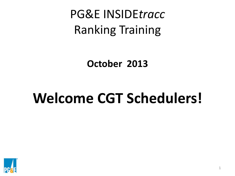PG&E INSIDE*tracc* Ranking Training

**October 2013** 

# **Welcome CGT Schedulers!**

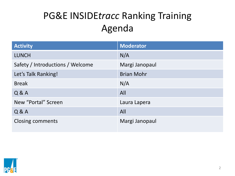#### PG&E INSIDE*tracc* Ranking Training Agenda

| <b>Activity</b>                  | <b>Moderator</b>  |
|----------------------------------|-------------------|
| <b>LUNCH</b>                     | N/A               |
| Safety / Introductions / Welcome | Margi Janopaul    |
| Let's Talk Ranking!              | <b>Brian Mohr</b> |
| <b>Break</b>                     | N/A               |
| Q & A                            | All               |
| New "Portal" Screen              | Laura Lapera      |
| Q & A                            | All               |
| <b>Closing comments</b>          | Margi Janopaul    |

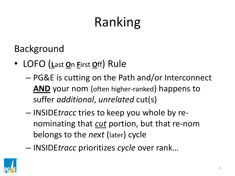Background

- LOFO (**L**ast **O**n **F**irst **O**ff) Rule
	- PG&E is cutting on the Path and/or Interconnect **AND** your nom (often higher-ranked) happens to suffer *additional*, *unrelated* cut(s)
	- INSIDE*tracc* tries to keep you whole by renominating that *cut* portion, but that re-nom belongs to the *next* (later) cycle
	- INSIDE*tracc* prioritizes *cycle* over rank…

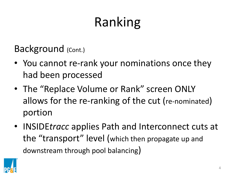Background (Cont.)

- You cannot re-rank your nominations once they had been processed
- The "Replace Volume or Rank" screen ONLY allows for the re-ranking of the cut (re-nominated) portion
- INSIDE*tracc* applies Path and Interconnect cuts at the "transport" level (which then propagate up and downstream through pool balancing)

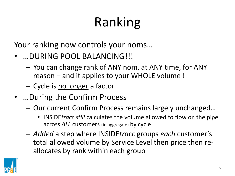Your ranking now controls your noms…

- …DURING POOL BALANCING!!!
	- You can change rank of ANY nom, at ANY time, for ANY reason – and it applies to your WHOLE volume !
	- Cycle is no longer a factor
- …During the Confirm Process
	- Our current Confirm Process remains largely unchanged…
		- INSIDE*tracc still* calculates the volume allowed to flow on the pipe across *ALL* customers (in aggregate) by cycle
	- *Added* a step where INSIDE*tracc* groups *each* customer's total allowed volume by Service Level then price then reallocates by rank within each group

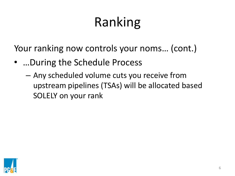Your ranking now controls your noms… (cont.)

- …During the Schedule Process
	- Any scheduled volume cuts you receive from upstream pipelines (TSAs) will be allocated based SOLELY on your rank

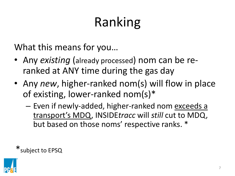What this means for you…

- Any *existing* (already processed) nom can be reranked at ANY time during the gas day
- Any *new*, higher-ranked nom(s) will flow in place of existing, lower-ranked nom(s)\*
	- Even if newly-added, higher-ranked nom exceeds a transport's MDQ, INSIDE*tracc* will *still* cut to MDQ, but based on those noms' respective ranks. \*

\*subject to EPSQ

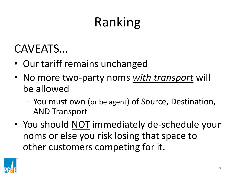### CAVEATS…

- Our tariff remains unchanged
- No more two-party noms *with transport* will be allowed
	- You must own (or be agent) of Source, Destination, AND Transport
- You should NOT immediately de-schedule your noms or else you risk losing that space to other customers competing for it.

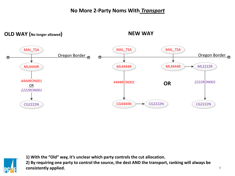#### **No More 2-Party Noms With** *Transport*

**OLD WAY (No longer allowed)**

**NEW WAY**





**1) With the "Old" way, it's unclear which party controls the cut allocation. 2) By requiring one party to control the source, the dest AND the transport, ranking will always be consistently applied.**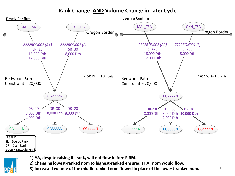#### **Rank Change AND Volume Change in Later Cycle**



- 
- **1) AA, despite raising its rank, will not flow before FIRM.**
- **2) Changing lowest-ranked nom to highest-ranked ensured THAT nom would flow.**
- **3) Increased volume of the middle-ranked nom flowed in place of the lowest-ranked nom.** 10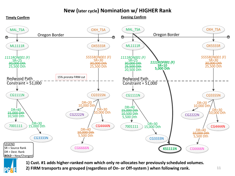#### **New (later cycle) Nomination w/ HIGHER Rank**



**1) Cust. #1 adds higher-ranked nom which only re-allocates her previously scheduled volumes.** 

**2) FIRM transports are grouped (regardless of On- or Off-system ) when following rank.** 11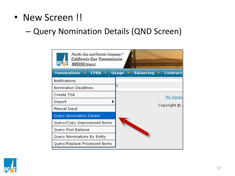• New Screen !!

#### – Query Nomination Details (QND Screen)

| <b>INSIDE</b> tracc                 | Pacific Gas and Electric Company®<br><b>California Gas Transmission</b> |                      |                  | いろのすつあのあいでなきながながない。「ねんねんけんがあまま                 |
|-------------------------------------|-------------------------------------------------------------------------|----------------------|------------------|------------------------------------------------|
| Nominations $\mathbf{\overline{v}}$ | <b>CPBA</b><br>- 92                                                     | <b>Usage</b><br>- 77 | <b>Balancing</b> | <b>Contract:</b><br>-52                        |
| <b>Notifications</b>                |                                                                         |                      |                  |                                                |
| Nomination Deadlines                |                                                                         | С                    |                  |                                                |
| Create TSA                          |                                                                         |                      |                  | <u>My Accou</u>                                |
| Import                              |                                                                         |                      |                  |                                                |
| Manual Input                        |                                                                         |                      |                  | $\mathsf{Copyright} \textcircled{\textsf{}}$ : |
| Query Nomination Details            |                                                                         |                      |                  |                                                |
| Query/Copy Unprocessed Noms         |                                                                         |                      |                  |                                                |
| Query Pool Balance                  |                                                                         |                      |                  |                                                |
| Query Nominations By Entity         |                                                                         |                      |                  |                                                |
| Query/Replace Processed Noms        |                                                                         |                      |                  |                                                |

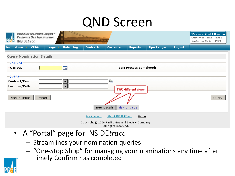### QND Screen

| <b>PGA</b><br><b>INSIDEtracc</b>                        | Pacific Gas and Electric Company <sup>®</sup><br><b>California Gas Transmission</b> |                |                              | <b>SAPERAGAPERINTARIA DE TRADITARIO MUNICIPALITARE</b>           |                                           |                                |                    |               | Welcome, Cust 1 Houston<br>Customer Name: Test 1<br>Customer Code: 9999 |
|---------------------------------------------------------|-------------------------------------------------------------------------------------|----------------|------------------------------|------------------------------------------------------------------|-------------------------------------------|--------------------------------|--------------------|---------------|-------------------------------------------------------------------------|
| <b>Nominations</b>                                      | <b>CPBA</b><br>150                                                                  | Usage $\nabla$ | <b>Balancing</b> v           | Contracts v                                                      | Customer v                                | Reports $\overline{v}$         | <b>Pipe Ranger</b> | <b>Logout</b> |                                                                         |
| Query Nomination Details<br><b>GAS DAY</b><br>*Gas Day: |                                                                                     |                | 諜                            |                                                                  |                                           | <b>Last Process Completed:</b> |                    |               |                                                                         |
| <b>QUERY</b><br>Contract/Pool:<br>Location/Path:        |                                                                                     |                | ▼<br>$\overline{\mathbf{v}}$ |                                                                  | <b>Lec</b>                                | <b>TWO different views</b>     |                    |               |                                                                         |
| Manual Input                                            | Import                                                                              |                |                              | <b>View Details</b>                                              |                                           | View by Cycle                  |                    |               | Query                                                                   |
|                                                         |                                                                                     |                |                              | My Account<br>Copyright © 2008 Pacific Gas and Electric Company. | About INSIDEtrace<br>All rights reserved. | Home                           |                    |               |                                                                         |

- A "Portal" page for INSIDE*tracc* 
	- Streamlines your nomination queries
	- "One-Stop Shop" for managing your nominations any time after Timely Confirm has completed

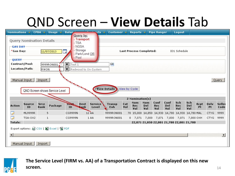



#### **The Service Level (FIRM vs. AA) of a Transportation Contract is displayed on this new screen.**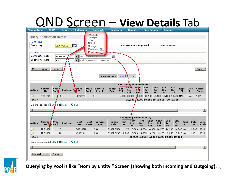



**Querying by Pool is like "Nom by Entity " Screen (showing both Incoming and Outgoing).**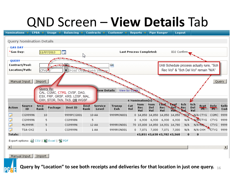| Nominations $\triangledown$ |                          | <b>CPBA</b>                                       | Usage                                   | <b>Balancing</b> v                                             |      | Contracts v                 | Customer v    |              | Reports $\sim$                             |            | <b>Pipe Ranger</b> |                                                                                                                                                                                                                                                   | Logout        |            |                |                |       |
|-----------------------------|--------------------------|---------------------------------------------------|-----------------------------------------|----------------------------------------------------------------|------|-----------------------------|---------------|--------------|--------------------------------------------|------------|--------------------|---------------------------------------------------------------------------------------------------------------------------------------------------------------------------------------------------------------------------------------------------|---------------|------------|----------------|----------------|-------|
|                             | Query Nomination Details |                                                   |                                         |                                                                |      |                             |               |              |                                            |            |                    |                                                                                                                                                                                                                                                   |               |            |                |                |       |
|                             |                          |                                                   |                                         |                                                                |      |                             |               |              |                                            |            |                    |                                                                                                                                                                                                                                                   |               |            |                |                |       |
| <b>GAS DAY</b>              |                          |                                                   |                                         |                                                                |      |                             |               |              |                                            |            |                    |                                                                                                                                                                                                                                                   |               |            |                |                |       |
| *Gas Day:                   |                          |                                                   | 11/07/2013                              | . J                                                            | ペ    |                             |               |              | <b>Last Process Completed:</b>             |            |                    | ID2 Confirm.                                                                                                                                                                                                                                      |               |            |                |                |       |
| <b>QUERY</b>                |                          |                                                   |                                         |                                                                |      |                             |               |              |                                            |            |                    |                                                                                                                                                                                                                                                   |               |            |                |                |       |
|                             | Contract/Pool:           |                                                   |                                         |                                                                |      |                             | <b>Lee</b>    |              |                                            |            |                    | Until Schedule process actually runs, "Sch                                                                                                                                                                                                        |               |            |                |                |       |
|                             | Location/Path:           | $ {\rm C} \text{Tr} {\rm G}^{\blacktriangledown}$ |                                         |                                                                |      |                             |               |              |                                            |            |                    | Rec Vol" & "Sch Del Vol" remain "N/A"                                                                                                                                                                                                             |               |            |                |                |       |
|                             |                          |                                                   |                                         |                                                                |      | PG&E Ctygte Distrb Intercon |               |              |                                            |            |                    |                                                                                                                                                                                                                                                   |               |            |                |                |       |
|                             |                          |                                                   |                                         |                                                                |      |                             |               |              |                                            |            |                    |                                                                                                                                                                                                                                                   |               |            |                |                |       |
|                             | Manual Input             | Import                                            |                                         |                                                                |      |                             |               |              |                                            |            |                    |                                                                                                                                                                                                                                                   |               |            |                |                | Query |
|                             |                          |                                                   | Query By:                               |                                                                |      | liew Details                |               | View by Cyol |                                            |            |                    |                                                                                                                                                                                                                                                   |               |            |                |                |       |
|                             |                          |                                                   |                                         | CAL, CGMC, CTYG, CVSF, DAG,<br>ESX, FRP, GRSF, KRS, LDSF, MAL, |      |                             |               |              |                                            |            |                    |                                                                                                                                                                                                                                                   |               |            |                |                |       |
|                             |                          |                                                   |                                         | OXH, STOR, TKN, TKS, OR WGSF                                   |      |                             |               |              | 4 Nomination(s)                            |            |                    |                                                                                                                                                                                                                                                   |               |            |                |                |       |
|                             | <b>Source</b>            | Srce                                              |                                         |                                                                | Dest | <b>Service</b>              | <b>Transp</b> | Cut          | Nom                                        | Nom        | <b>CONC</b>        | <b>Deaf</b>                                                                                                                                                                                                                                       | Sch           | Sch        | <b>Rcpt</b>    | Delv           | Selle |
| <b>Action</b>               | ID                       | Rank                                              | Package                                 | Dest ID                                                        | Rank | Level                       | Exh           | Vol          | Rec<br>Vol                                 | Del<br>Vol | Rec<br>Vol         | Qel'∿,Rec<br><b>The Contract of the Contract of the Contract of the Contract of the Contract of the Contract of the Contract of the Contract of the Contract of The Contract of The Contract of The Contract of The Contract of The Contract </b> | $\mathcal{L}$ | Del<br>Vol | P <sub>t</sub> | P <sub>t</sub> | Cod   |
| ø                           | CG9999N                  | 10                                                |                                         | 9999PCG001                                                     |      | 10 AA                       | 9999MON001    |              | 0 14,850 14,850 14,850 14,850 W/A W/A CTYG |            |                    |                                                                                                                                                                                                                                                   |               |            |                | CGMC 9999      |       |
| 7                           | CG9999N                  |                                                   | 5                                       | CG9998N                                                        | 5    |                             |               | 0            | 6,930                                      | 6,930      | 6,930              | 6,930                                                                                                                                                                                                                                             |               | N/A WACTYG |                | <b>CTYG</b>    | 9999  |
| 7                           | ML9999R                  |                                                   | 5                                       | CG9999N                                                        |      | 12 AA                       | 9999RON001    |              | 70 15,000 14,850 14,931 14,780             |            |                    |                                                                                                                                                                                                                                                   | N/A           | N/A MALL   |                | CTYG           | 9999  |
| 7                           | TSA-OX2                  |                                                   | 1                                       | CG9999N                                                        |      | 1 AA                        | 9999RON001    | 0.           | 7,071                                      |            | 7,000 7,071        | 7,000                                                                                                                                                                                                                                             | N/A           |            | N/A OXH CTYG   |                | 9999  |
| <b>Totals:</b>              |                          |                                                   |                                         |                                                                |      |                             |               |              | 43,851 43,630 43,782 43,560                |            |                    |                                                                                                                                                                                                                                                   | $\bf{0}$      | $\bf{0}$   |                |                |       |
|                             |                          |                                                   | Export options: 2 CSV   X Excel   2 PDF |                                                                |      |                             |               |              |                                            |            |                    |                                                                                                                                                                                                                                                   |               |            |                |                |       |
| $\overline{\mathbf{A}}$     |                          |                                                   |                                         |                                                                |      |                             |               |              |                                            |            |                    |                                                                                                                                                                                                                                                   |               |            |                |                |       |
|                             |                          |                                                   |                                         |                                                                |      |                             |               |              |                                            |            |                    |                                                                                                                                                                                                                                                   |               |            |                |                |       |
|                             |                          |                                                   |                                         |                                                                |      |                             |               |              |                                            |            |                    |                                                                                                                                                                                                                                                   |               |            |                |                |       |
|                             | Manual Input             | Import                                            |                                         |                                                                |      |                             |               |              |                                            |            |                    |                                                                                                                                                                                                                                                   |               |            |                |                |       |

**Query by "Location" to see both receipts and deliveries for that location in just one query.** <sup>16</sup>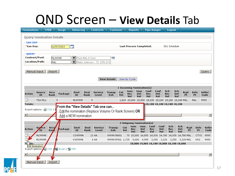| Nominations v                  |                                 | $CPBA =$      | Usage $\triangledown$                   | <b>Balancing</b>     |                 | Contracts v                 | Customer v                                                    |               | Reports $\triangledown$         |                   | <b>Pipe Ranger</b> |                    | Logout                                              |                   |                   |                   |                       |
|--------------------------------|---------------------------------|---------------|-----------------------------------------|----------------------|-----------------|-----------------------------|---------------------------------------------------------------|---------------|---------------------------------|-------------------|--------------------|--------------------|-----------------------------------------------------|-------------------|-------------------|-------------------|-----------------------|
|                                | <b>Query Nomination Details</b> |               |                                         |                      |                 |                             |                                                               |               |                                 |                   |                    |                    |                                                     |                   |                   |                   |                       |
| <b>GAS DAY</b>                 |                                 |               |                                         |                      |                 |                             |                                                               |               |                                 |                   |                    |                    |                                                     |                   |                   |                   |                       |
| *Gas Day:                      |                                 |               | 11/07/2013                              | 戰                    |                 |                             |                                                               |               | <b>Last Process Completed:</b>  |                   |                    |                    | ID1 Schedule                                        |                   |                   |                   |                       |
|                                |                                 |               |                                         |                      |                 |                             |                                                               |               |                                 |                   |                    |                    |                                                     |                   |                   |                   |                       |
| <b>QUERY</b><br>Contract/Pool: |                                 | ML9999R       |                                         | $\blacktriangledown$ | Test MAL R Pool |                             | Loc                                                           |               |                                 |                   |                    |                    |                                                     |                   |                   |                   |                       |
| Location/Path:                 |                                 | <b>MAL</b>    |                                         |                      |                 | Malin Intercon - TC GTN SYS |                                                               |               |                                 |                   |                    |                    |                                                     |                   |                   |                   |                       |
|                                |                                 |               |                                         |                      |                 |                             |                                                               |               |                                 |                   |                    |                    |                                                     |                   |                   |                   |                       |
|                                | Manual Input                    | Import        |                                         |                      |                 |                             |                                                               |               |                                 |                   |                    |                    |                                                     |                   |                   |                   | Query                 |
|                                |                                 |               |                                         |                      |                 |                             | <b>View Details</b>                                           | View by Cycle |                                 |                   |                    |                    |                                                     |                   |                   |                   |                       |
|                                |                                 |               |                                         |                      |                 |                             |                                                               |               |                                 |                   |                    |                    |                                                     |                   |                   |                   |                       |
|                                |                                 |               |                                         |                      |                 |                             |                                                               |               | 1 Incoming Nomination(s)        |                   |                    |                    |                                                     |                   |                   |                   |                       |
| Action                         | <b>Source</b><br>ID             | Srce<br>Rank  | Package                                 | Dest<br>ID           | Dest<br>Rank    | <b>Service</b><br>Level     | <b>Transp</b><br>Exh                                          | Cut<br>Vol    | Nom<br>Rec<br>Vol               | Nom<br>Del<br>Vol | Conf<br>Rec<br>Vol | Conf<br>Del<br>Vol | Sch<br>Rec<br>Vol                                   | Sch<br>Del<br>Vol | Rcpt<br>Pt        | Delv<br>Pt        | <b>Seller</b><br>Code |
| 7                              | TSA-ML1                         |               | 5                                       | ML9999R              | 5               |                             |                                                               |               |                                 |                   |                    |                    | 1,820 20,000 20,000 18,180 18,180 18,180 18,180 MAL |                   |                   | MAL               | 9999                  |
| <b>Totals:</b>                 |                                 |               | From the "View Details" Tab one can     |                      |                 |                             |                                                               |               |                                 |                   |                    |                    | 18,180 18,180 18,180 18,180                         |                   |                   |                   |                       |
|                                | Export options: a CSV   】       |               |                                         |                      |                 |                             | <b>Edit the nomination (Replace Volume Or Rank Screen) OR</b> |               |                                 |                   |                    |                    |                                                     |                   |                   |                   |                       |
|                                |                                 |               | Add a NEW nomination                    |                      |                 |                             |                                                               |               |                                 |                   |                    |                    |                                                     |                   |                   |                   | $\blacktriangleright$ |
|                                |                                 |               |                                         |                      |                 |                             |                                                               |               |                                 |                   |                    |                    |                                                     |                   |                   |                   |                       |
|                                |                                 |               |                                         |                      |                 |                             |                                                               |               | 2 Outgoing Nomination(s)<br>Nom | <b>Nom</b>        | Conf               | Conf               | Sch                                                 | Sch               |                   |                   |                       |
| Action                         | So rce<br><b>ID</b>             | Srce/<br>Rank | Package                                 | Dest<br>ID           | Dest<br>Rank    | <b>Service</b><br>Level     | <b>Transp</b><br>Exh                                          | Cut<br>Vol    | Rec<br>Vol                      | Del<br>Vol        | Rec<br>Vol         | Del<br>Vol         | Rec<br>Vol                                          | Del<br>Vol        | Rcpt<br><b>Pt</b> | Delv<br><b>Pt</b> | Seller<br>Code        |
|                                | ML9999R                         |               |                                         | CG9999N              |                 | 12 AA                       | 9999RON001                                                    |               |                                 |                   |                    |                    | 70 15,000 14,850 14,930 14,780 14,930 14,780 MAL    |                   |                   | CTYG              | 9999                  |
|                                | ML9999R                         |               |                                         | <b>KS9999N</b>       |                 | 6 AA                        | 9999ROF001 1,735                                              |               |                                 |                   |                    |                    | 5,000 4,955 3,250 3,220 3,250 3,220 MAL             |                   |                   | KRS.              | 9999                  |
| Als:                           | Edit Nomination                 |               |                                         |                      |                 |                             |                                                               |               |                                 |                   |                    |                    | 20,000 19,805 18,180 18,000 18,180 18,000           |                   |                   |                   |                       |
|                                |                                 |               | Export options: 2 CSV   X Excel   2 PDF |                      |                 |                             |                                                               |               |                                 |                   |                    |                    |                                                     |                   |                   |                   |                       |
|                                |                                 |               |                                         |                      |                 |                             |                                                               |               |                                 |                   |                    |                    |                                                     |                   |                   |                   | $\vert \cdot \vert$   |
|                                | Manual Input                    | Import        |                                         |                      |                 |                             |                                                               |               |                                 |                   |                    |                    |                                                     |                   |                   |                   |                       |
|                                |                                 |               |                                         |                      |                 |                             |                                                               |               |                                 |                   |                    |                    |                                                     |                   |                   |                   |                       |

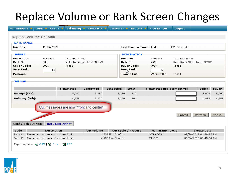### Replace Volume or Rank Screen Changes

| Nominations $\sim$                    | $CPBA =$                                | Usage                | <b>Balancing</b>       | Contracts                               | <b>Customer</b>    | Reports $\overline{v}$         | <b>Pipe Ranger</b>               | Logout          |                              |                    |                |
|---------------------------------------|-----------------------------------------|----------------------|------------------------|-----------------------------------------|--------------------|--------------------------------|----------------------------------|-----------------|------------------------------|--------------------|----------------|
|                                       | Replace Volume Or Rank                  |                      |                        |                                         |                    |                                |                                  |                 |                              |                    |                |
| <b>DATE RANGE</b>                     |                                         |                      |                        |                                         |                    |                                |                                  |                 |                              |                    |                |
| Gas Day:                              |                                         | 11/07/2013           |                        |                                         |                    | <b>Last Process Completed:</b> |                                  | ID1 Schedule    |                              |                    |                |
| <b>SOURCE</b>                         |                                         |                      |                        |                                         |                    | <b>DESTINATION</b>             |                                  |                 |                              |                    |                |
| Source ID:                            | ML9999R                                 |                      | <b>Test MAL R Pool</b> |                                         |                    | Dest ID:                       | <b>KS9999N</b>                   | Test KRS N Pool |                              |                    |                |
| <b>Rcpt Pt:</b>                       | MAL                                     |                      |                        | Malin Intercon - TC GTN SYS             |                    | Delv Pt:                       | <b>KRS</b>                       |                 | Kern River Sta Intron - SCGC |                    |                |
| <b>Seller Code:</b>                   | 9999                                    |                      | Test 1                 |                                         |                    | <b>Buyer Code:</b>             | 9999                             | Test 1          |                              |                    |                |
| <b>Srce Rank:</b>                     |                                         | 10 <sup>1</sup>      |                        |                                         |                    | Dest Rank:                     | 6                                |                 |                              |                    |                |
| Package:                              |                                         |                      |                        |                                         |                    | <b>Transp Exh:</b>             | 9999ROF001                       | Test 1          |                              |                    |                |
| VOLUME <sup>.</sup><br>Receipt (Dth): |                                         |                      | Nominated<br>5,000     | Confirmed<br>3,250                      | Scheduled<br>3,250 | <b>EPSO</b><br>812             | <b>Nominated Replacement Vol</b> |                 |                              | Seller<br>5,000    | Buyer<br>5,000 |
| Delivery (Dth):                       |                                         |                      | 4,955                  | 3,220                                   | 3,220              | 804                            |                                  |                 |                              | 4,955              | 4,955          |
|                                       |                                         |                      |                        |                                         |                    |                                |                                  |                 |                              |                    |                |
|                                       |                                         |                      |                        | Cut messages are now "front and center" |                    |                                |                                  |                 |                              |                    |                |
|                                       |                                         |                      |                        |                                         |                    |                                |                                  | Submit          |                              | Refresh            | Cancel         |
| Conf / Sch Cut Msgs                   |                                         | Incr / Decr Activity |                        |                                         |                    |                                |                                  |                 |                              |                    |                |
| Code                                  |                                         | <b>Description</b>   |                        | <b>Cut Volume</b>                       |                    | Cut Cycle / Process            | <b>Nomination Cycle</b>          |                 |                              | <b>Create Date</b> |                |
| Path-01                               | Exceeded path receipt volume limit.     |                      |                        |                                         | 1,735 ID1 Confirm  |                                | INTRADAY1                        |                 | 09/26/2013 04:50:57 PM       |                    |                |
| Path-01                               | Exceeded path receipt volume limit.     |                      |                        |                                         | 4,955 Eve Confirm  |                                | TIMELY                           |                 | 09/26/2013 03:45:34 PM       |                    |                |
|                                       | Export options: 2 CSV   又 Excel   2 PDF |                      |                        |                                         |                    |                                |                                  |                 |                              |                    |                |

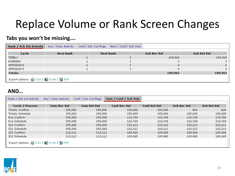### Replace Volume or Rank Screen Changes

#### **Tabs you won't be missing….**

| Rank / Sch Vol Activity                 | Incr / Decr Activity | Nom / Conf / Sch Vols<br>Conf / Sch Cut Msgs |                    |                    |
|-----------------------------------------|----------------------|----------------------------------------------|--------------------|--------------------|
| Cycle                                   | <b>Srce Rank</b>     | <b>Dest Rank</b>                             | <b>Sch Rec Vol</b> | <b>Sch Del Vol</b> |
| TIMELY                                  |                      |                                              | 109,965            | 109,965            |
| <b>EVENING</b>                          |                      |                                              | Ο                  |                    |
| INTRADAY1                               |                      |                                              | 0.                 | $\overline{0}$     |
| INTRADAY2                               |                      |                                              | ū                  |                    |
| <b>Totals:</b>                          |                      |                                              | 109,965            | 109,965            |
| Export options: 2 CSV   X Excel   2 PDF |                      |                                              |                    |                    |

#### **AND…**

| Rank / Sch Vol Activity                 | Incr / Decr Activity | Conf / Sch Cut Msgs | Nom / Conf / Sch Vols |                     |                    |             |
|-----------------------------------------|----------------------|---------------------|-----------------------|---------------------|--------------------|-------------|
| Cycle / Process                         | Nom Rec Vol          | Nom Del Vol         | <b>Conf Rec Vol</b>   | <b>Conf Del Vol</b> | <b>Sch Rec Vol</b> | Sch Del Vol |
| Timely Confirm                          | 155,000              | 155,000             | 155,000               | 155,000             | N/A                | N/A         |
| Timely Schedule                         | 155,000              | 155,000             | 155,000               | 155,000             | 155,000            | 155,000     |
| Eve Confirm                             | 155,000              | 155,000             | 110,768               | 110,768             | 110,768            | 110,768     |
| Eve Schedule                            | 155,000              | 155,000             | 110,768               | 110,768             | 110,768            | 110,768     |
| ID1 Confirm                             | 155,000              | 155,000             | 110,112               | 110,112             | 110,112            | 110,112     |
| ID1 Schedule                            | 155,000              | 155,000             | 110,112               | 110,112             | 110,112            | 110,112     |
| ID2 Confirm                             | 110,112              | 110,112             | 109,965               | 109,965             | 109,965            | 109,965     |
| ID2 Schedule                            | 110,112              | 110,112             | 109,965               | 109,965             | 109,965            | 109,965     |
| Export options: 2 CSV   又 Excel   2 PDF |                      |                     |                       |                     |                    |             |

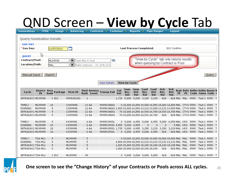## QND Screen – **View by Cycle** Tab

| <b>Nominations</b> | <b>CPBA</b>       | <b>Usage</b>                    | <b>Balancing</b>     |                                          | Contracts                                                                              | Customer - |               | <b>Reports</b>                 |      | <b>Pipe Ranger</b>                                           |     | Logout                   |           |                   |      |                                                            |       |                  |
|--------------------|-------------------|---------------------------------|----------------------|------------------------------------------|----------------------------------------------------------------------------------------|------------|---------------|--------------------------------|------|--------------------------------------------------------------|-----|--------------------------|-----------|-------------------|------|------------------------------------------------------------|-------|------------------|
|                    |                   | <b>Query Nomination Details</b> |                      |                                          |                                                                                        |            |               |                                |      |                                                              |     |                          |           |                   |      |                                                            |       |                  |
|                    |                   |                                 |                      |                                          |                                                                                        |            |               |                                |      |                                                              |     |                          |           |                   |      |                                                            |       |                  |
| <b>GAS DAY</b>     |                   |                                 |                      |                                          |                                                                                        |            |               |                                |      |                                                              |     |                          |           |                   |      |                                                            |       |                  |
| *Gas Day:          |                   | 11/07/2013                      |                      |                                          |                                                                                        |            |               | <b>Last Process Completed:</b> |      |                                                              |     | ID2 Confirm              |           |                   |      |                                                            |       |                  |
|                    |                   |                                 |                      |                                          |                                                                                        |            |               |                                |      |                                                              |     |                          |           |                   |      |                                                            |       |                  |
| <b>OUERY</b>       |                   |                                 |                      |                                          |                                                                                        |            |               |                                |      |                                                              |     |                          |           |                   |      |                                                            |       |                  |
| Contract/Pool:     |                   | ML9999R                         | $\blacktriangledown$ | Test MAL R Pool                          | <b>Les</b>                                                                             |            |               |                                |      | "View by Cycle" tab only returns results                     |     |                          |           |                   |      |                                                            |       |                  |
| Location/Path:     |                   |                                 | $\blacktriangledown$ |                                          |                                                                                        |            |               |                                |      | when querying by Contract or Pool                            |     |                          |           |                   |      |                                                            |       |                  |
|                    |                   | MAL                             |                      | Malin Intercon - TC GTN SYS              |                                                                                        |            |               |                                |      |                                                              |     |                          |           |                   |      |                                                            |       |                  |
|                    |                   |                                 |                      |                                          |                                                                                        |            |               |                                |      |                                                              |     |                          |           |                   |      |                                                            |       |                  |
| Manual Input       |                   | Import                          |                      |                                          |                                                                                        |            |               |                                |      |                                                              |     |                          |           |                   |      |                                                            | Query |                  |
|                    |                   |                                 |                      |                                          |                                                                                        |            |               |                                |      |                                                              |     |                          |           |                   |      |                                                            |       |                  |
|                    |                   |                                 |                      |                                          | <b>View Details</b>                                                                    |            | View by Cycle |                                |      |                                                              |     |                          |           |                   |      |                                                            |       |                  |
|                    |                   |                                 |                      |                                          |                                                                                        |            |               |                                |      |                                                              |     |                          |           |                   |      |                                                            |       |                  |
|                    |                   |                                 |                      |                                          |                                                                                        |            | Nom           | Nom                            | Conf | Conf                                                         | Sch | Sch                      |           |                   |      |                                                            |       |                  |
| Cycle              | Source Srce<br>ID | Package<br>Rank                 | Dest ID              | <b>Dest Service</b><br><b>Rank Level</b> | Transp Exh                                                                             | Cut<br>Vol | Rec           | Del                            | Rec  | Del                                                          | Rec | Del                      | <b>Pt</b> | <b>Pt</b>         |      | <b>Rept Delv Seller Seller Buyer B</b><br>Code Name Code N |       |                  |
|                    |                   |                                 |                      |                                          |                                                                                        |            | Vol           | Vol                            | Vol  | Vol                                                          | Vol | Vol                      |           |                   |      |                                                            |       |                  |
| INTRADAY2 ML9999R  |                   | 1 <sub>ID2</sub>                | 9999LML001           | $\mathbf{1}$                             |                                                                                        | 1,735      |               | 5,000 5,000 3,265 3,265        |      |                                                              | N/A |                          |           |                   |      | N/A MAL MAL 9999 Test 1 9999 T                             |       |                  |
| TIMELY             | ML9999R           |                                 | CG9999N              | 12 AA                                    |                                                                                        |            |               |                                |      | 0 15,000 14,850 15,000 14,850 15,000 14,850 MAL CTYG 9999    |     |                          |           |                   |      | Test 1 9999                                                |       |                  |
| <b>EVENING</b>     | ML9999R           | 10<br>5                         | CG9999N              | 12 AA                                    | 9999RON001<br>9999RON001 1,850 15,000 14,850 13,132 13,000 13,132 13,000 MAL CTYG 9999 |            |               |                                |      |                                                              |     |                          |           |                   |      | Test 1 9999                                                |       | $\top$<br>$\top$ |
| INTRADAY1 ML9999R  |                   | 5                               | CG9999N              | 12 AA                                    | 9999RON001                                                                             |            |               |                                |      | 70 15,000 14,850 14,930 14,780 14,930 14,780 MAL CTYG 9999   |     |                          |           |                   |      | Test 1 9999                                                |       | $\top$           |
| INTRADAY2 ML9999R  |                   | 5                               | CG9999N              | 12 AA                                    | 9999RON001                                                                             |            |               |                                |      | 70 15,000 14,850 14,931 14,780                               | N/A |                          |           | N/A MAL CTYG 9999 |      | Test 1 9999 T                                              |       |                  |
|                    |                   |                                 |                      |                                          |                                                                                        |            |               |                                |      |                                                              |     |                          |           |                   |      |                                                            |       |                  |
| TIMELY             | ML9999R           | 5                               | <b>KS9999N</b>       | 6 AA                                     | 9999ROF001                                                                             |            |               |                                |      | 0 5,000 4,955 5,000 4,955                                    |     | 5,000 4,955 MAL KRS 9999 |           |                   |      | Test 1 9999                                                |       | $\top$           |
| <b>EVENING</b>     | ML9999R           | 10                              | <b>KS9999N</b>       | 6 AA                                     | 9999ROF001 4,955 5,000 4,955                                                           |            |               |                                | 0    | 0                                                            | 0   |                          |           | 0 MAL KRS 9999    |      | Test 1 9999                                                |       | T                |
| INTRADAY1 ML9999R  |                   | 10                              | <b>KS9999N</b>       | 6 AA                                     | 9999ROF001 1,735                                                                       |            |               |                                |      | 5,000 4,955 3,250 3,220                                      |     | 3,250 3,220 MAL KRS 9999 |           |                   |      | Test 1 9999                                                |       | T                |
| INTRADAY2 ML9999R  |                   | 10                              | <b>KS9999N</b>       | 6 AA                                     | 9999ROF001                                                                             |            |               |                                |      | 0 5,000 4,955 5,000 4,955                                    | N/A |                          |           | N/A MAL KRS 9999  |      | Test 1 9999 T                                              |       |                  |
|                    |                   |                                 |                      |                                          |                                                                                        |            |               |                                |      |                                                              |     |                          |           |                   |      |                                                            |       |                  |
| TIMELY             | TSA-ML1           | 5                               | ML9999R              | 5                                        |                                                                                        |            |               |                                |      | 0 20,000 20,000 20,000 20,000 20,000 20,000 MAL MAL 9999     |     |                          |           |                   |      | Test 1 9999                                                |       | $\top$           |
| <b>EVENING</b>     | TSA-ML1           | 5                               | ML9999R              | 5                                        |                                                                                        |            |               |                                |      | 6,868 20,000 20,000 13,132 13,132 13,132 13,132 MAL MAL 9999 |     |                          |           |                   |      | Test 1 9999                                                |       | T                |
| INTRADAY1 TSA-ML1  |                   | 5                               | ML9999R              | 5                                        |                                                                                        |            |               |                                |      | 1,820 20,000 20,000 18,180 18,180 18,180 18,180 MAL MAL      |     |                          |           |                   | 9999 | Test 1 9999                                                |       | T                |
| INTRADAY2 TSA-ML1  |                   | 5                               | ML9999R              | 5                                        |                                                                                        |            |               |                                |      | 1,804 20,000 20,000 18,196 18,196                            | N/A |                          |           | N/A MAL MAL 9999  |      | Test 1 9999 T                                              |       |                  |
|                    |                   |                                 |                      |                                          |                                                                                        |            |               |                                |      |                                                              |     |                          |           |                   |      |                                                            |       |                  |
| INTRADAY2 TSA-ML1  |                   | 1 <sub>ID2</sub>                | ML9999R              | 99                                       |                                                                                        |            |               | $0$ 5,000 5,000 5,000 5,000    |      |                                                              | N/A |                          |           |                   |      | N/A MAL MAL 9999 Test 1 9999                               |       | $\top$           |

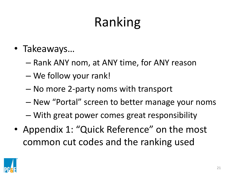- Takeaways…
	- Rank ANY nom, at ANY time, for ANY reason
	- We follow your rank!
	- No more 2-party noms with transport
	- New "Portal" screen to better manage your noms
	- With great power comes great responsibility
- Appendix 1: "Quick Reference" on the most common cut codes and the ranking used

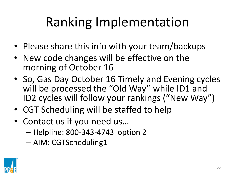## Ranking Implementation

- Please share this info with your team/backups
- New code changes will be effective on the morning of October 16
- So, Gas Day October 16 Timely and Evening cycles will be processed the "Old Way" while ID1 and ID2 cycles will follow your rankings ("New Way")
- CGT Scheduling will be staffed to help
- Contact us if you need us…
	- Helpline: 800-343-4743 option 2
	- AIM: CGTScheduling1

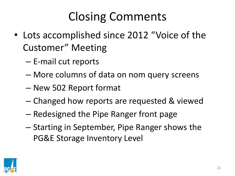## Closing Comments

- Lots accomplished since 2012 "Voice of the Customer" Meeting
	- E-mail cut reports
	- More columns of data on nom query screens
	- New 502 Report format
	- Changed how reports are requested & viewed
	- Redesigned the Pipe Ranger front page
	- Starting in September, Pipe Ranger shows the PG&E Storage Inventory Level

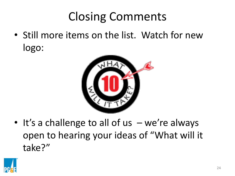## Closing Comments

• Still more items on the list. Watch for new logo:



• It's a challenge to all of us - we're always open to hearing your ideas of "What will it take?"

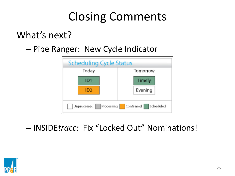## Closing Comments

#### What's next?

#### – Pipe Ranger: New Cycle Indicator



#### – INSIDE*tracc*: Fix "Locked Out" Nominations!

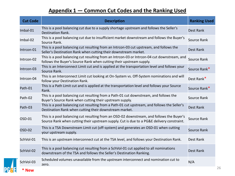#### **Appendix 1 ― Common Cut Codes and the Ranking Used**

| <b>Cut Code</b> | <b>Description</b>                                                                                                                                                                     | <b>Ranking Used</b> |
|-----------------|----------------------------------------------------------------------------------------------------------------------------------------------------------------------------------------|---------------------|
| Imbal-01        | This is a pool balancing cut due to a supply shortage upstream and follows the Seller's<br>Destination Rank.                                                                           | <b>Dest Rank</b>    |
| Imbal-02        | This is a pool balancing cut due to insufficient market downstream and follows the Buyer's<br>Source Rank.                                                                             | Source Rank         |
| Intrcon-01      | This is a pool balancing cut resulting from an Intrcon-03 cut upstream, and follows the<br>Seller's Destination Rank when cutting their downstream market.                             | <b>Dest Rank</b>    |
| Intrcon-02      | This is a pool balancing cut resulting from an Intrcon-03 or Intrcon-04 cut downstream, and<br>follows the Buyer's Source Rank when cutting their upstream supply.                     | Source Rank         |
| Intrcon-03      | This is an Interconnect Limit cut and is applied at the transportation level and follows your<br>Source Rank.                                                                          | Source Rank*        |
| Intrcon-04      | This is an Interconnect Limit cut looking at On-System vs. Off-System nominations and will<br>follow your Destination Rank.                                                            | Dest Rank*          |
| Path-01         | This is a Path Limit cut and is applied at the transportation level and follows your Source<br>Rank.                                                                                   | Source Rank*        |
| Path-02         | This is a pool balancing cut resulting from a Path-01 cut downstream, and follows the<br>Buyer's Source Rank when cutting their upstream supply.                                       | Source Rank         |
| Path-03         | This is a pool balancing cut resulting from a Path-01 cut upstream, and follows the Seller's<br>Destination Rank when cutting their downstream market.                                 | <b>Dest Rank</b>    |
| OSD-01          | This is a pool balancing cut resulting from an OSD-02 downstream, and follows the Buyer's<br>Source Rank when cutting their upstream supply. Cut is due to a PG&E delivery constraint. | Source Rank         |
| OSD-02          | This is a TSA Downstream Limit cut (off-system) and generates an OSD-01 when cutting<br>your upstream supply.                                                                          | Source Rank         |
| SchVol-01       | This is an upstream interconnect cut at the TSA level, and follows your Destination Rank.                                                                                              | Dest Rank           |
| SchVol-02       | This is a pool balancing cut resulting from a SchVol-01 cut applied to all nominations<br>downstream of the TSA and follows the Seller's Destination Ranking.                          | <b>Dest Rank</b>    |
| SchVol-03       | Scheduled volumes unavailable from the upstream interconnect and nomination cut to<br>zero.                                                                                            | N/A                 |
| * New           |                                                                                                                                                                                        |                     |

**PGSE**